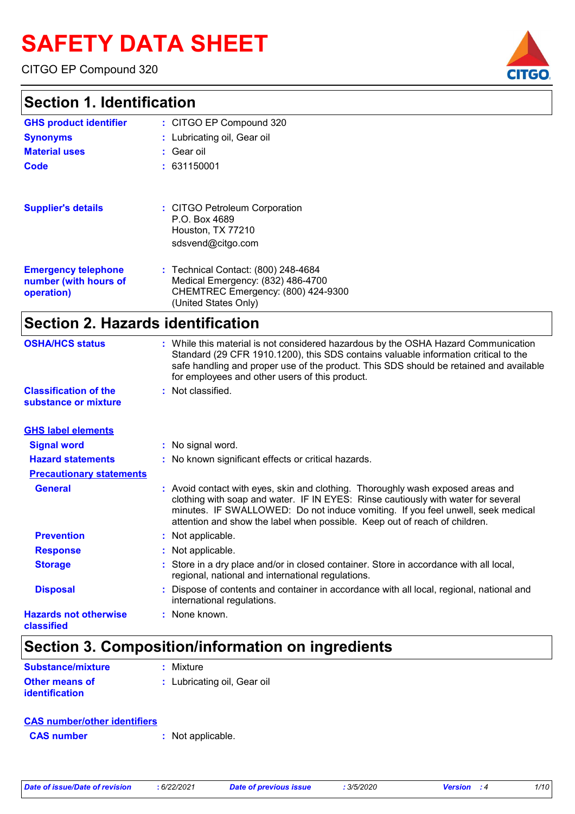# **SAFETY DATA SHEET**

CITGO EP Compound 320

### **Section 1. Identification**

| OGUUDIL I. IUGIILIIUGUUTI                                         |                                                                                                                                        |
|-------------------------------------------------------------------|----------------------------------------------------------------------------------------------------------------------------------------|
| <b>GHS product identifier</b>                                     | : CITGO EP Compound 320                                                                                                                |
| <b>Synonyms</b>                                                   | : Lubricating oil, Gear oil                                                                                                            |
| <b>Material uses</b>                                              | : Gear oil                                                                                                                             |
| <b>Code</b>                                                       | : 631150001                                                                                                                            |
| <b>Supplier's details</b>                                         | : CITGO Petroleum Corporation<br>P.O. Box 4689<br>Houston, TX 77210<br>sdsvend@citgo.com                                               |
| <b>Emergency telephone</b><br>number (with hours of<br>operation) | : Technical Contact: (800) 248-4684<br>Medical Emergency: (832) 486-4700<br>CHEMTREC Emergency: (800) 424-9300<br>(United States Only) |

### **Section 2. Hazards identification**

| <b>OSHA/HCS status</b>                               | : While this material is not considered hazardous by the OSHA Hazard Communication<br>Standard (29 CFR 1910.1200), this SDS contains valuable information critical to the<br>safe handling and proper use of the product. This SDS should be retained and available<br>for employees and other users of this product.                 |
|------------------------------------------------------|---------------------------------------------------------------------------------------------------------------------------------------------------------------------------------------------------------------------------------------------------------------------------------------------------------------------------------------|
| <b>Classification of the</b><br>substance or mixture | : Not classified.                                                                                                                                                                                                                                                                                                                     |
| <b>GHS label elements</b>                            |                                                                                                                                                                                                                                                                                                                                       |
| <b>Signal word</b>                                   | : No signal word.                                                                                                                                                                                                                                                                                                                     |
| <b>Hazard statements</b>                             | : No known significant effects or critical hazards.                                                                                                                                                                                                                                                                                   |
| <b>Precautionary statements</b>                      |                                                                                                                                                                                                                                                                                                                                       |
| <b>General</b>                                       | : Avoid contact with eyes, skin and clothing. Thoroughly wash exposed areas and<br>clothing with soap and water. IF IN EYES: Rinse cautiously with water for several<br>minutes. IF SWALLOWED: Do not induce vomiting. If you feel unwell, seek medical<br>attention and show the label when possible. Keep out of reach of children. |
| <b>Prevention</b>                                    | : Not applicable.                                                                                                                                                                                                                                                                                                                     |
| <b>Response</b>                                      | : Not applicable.                                                                                                                                                                                                                                                                                                                     |
| <b>Storage</b>                                       | : Store in a dry place and/or in closed container. Store in accordance with all local,<br>regional, national and international regulations.                                                                                                                                                                                           |
| <b>Disposal</b>                                      | Dispose of contents and container in accordance with all local, regional, national and<br>international regulations.                                                                                                                                                                                                                  |
| <b>Hazards not otherwise</b><br>classified           | : None known.                                                                                                                                                                                                                                                                                                                         |

# **Section 3. Composition/information on ingredients**

| Substance/mixture                              | $:$ Mixture                 |
|------------------------------------------------|-----------------------------|
| <b>Other means of</b><br><b>identification</b> | : Lubricating oil, Gear oil |
|                                                |                             |

| <b>CAS number/other identifiers</b> |                   |
|-------------------------------------|-------------------|
| <b>CAS</b> number                   | : Not applicable. |

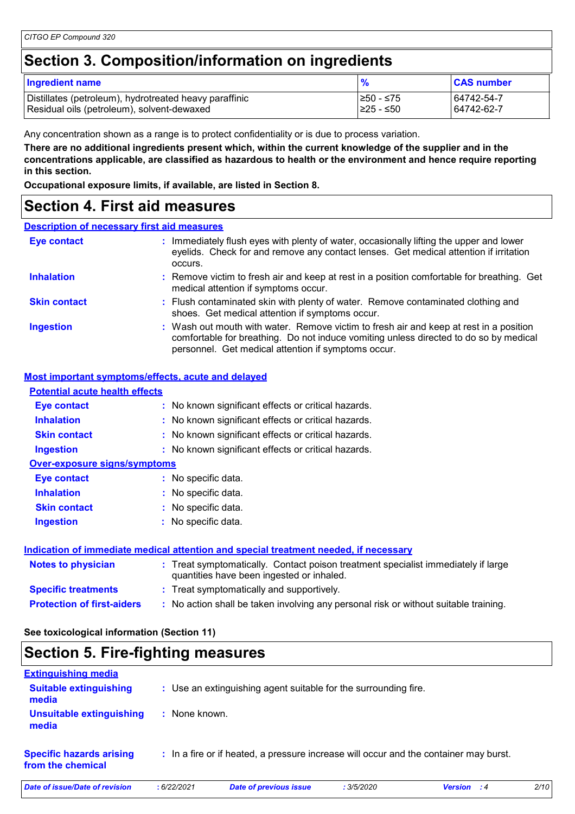# **Section 3. Composition/information on ingredients**

| <b>Ingredient name</b>                                 |            | <b>CAS number</b> |
|--------------------------------------------------------|------------|-------------------|
| Distillates (petroleum), hydrotreated heavy paraffinic | 1≥50 - ≤75 | 64742-54-7        |
| Residual oils (petroleum), solvent-dewaxed             | I≥25 - ≤50 | 64742-62-7        |

Any concentration shown as a range is to protect confidentiality or is due to process variation.

**There are no additional ingredients present which, within the current knowledge of the supplier and in the concentrations applicable, are classified as hazardous to health or the environment and hence require reporting in this section.**

**Occupational exposure limits, if available, are listed in Section 8.**

### **Section 4. First aid measures**

#### **Description of necessary first aid measures**

| Eye contact         | : Immediately flush eyes with plenty of water, occasionally lifting the upper and lower<br>eyelids. Check for and remove any contact lenses. Get medical attention if irritation                                                       |  |
|---------------------|----------------------------------------------------------------------------------------------------------------------------------------------------------------------------------------------------------------------------------------|--|
| <b>Inhalation</b>   | : Remove victim to fresh air and keep at rest in a position comfortable for breathing. Get<br>medical attention if symptoms occur.                                                                                                     |  |
| <b>Skin contact</b> | : Flush contaminated skin with plenty of water. Remove contaminated clothing and<br>shoes. Get medical attention if symptoms occur.                                                                                                    |  |
| <b>Ingestion</b>    | : Wash out mouth with water. Remove victim to fresh air and keep at rest in a position<br>comfortable for breathing. Do not induce vomiting unless directed to do so by medical<br>personnel. Get medical attention if symptoms occur. |  |

#### **Most important symptoms/effects, acute and delayed**

| <b>Potential acute health effects</b> |                                                                                                                                |
|---------------------------------------|--------------------------------------------------------------------------------------------------------------------------------|
| Eye contact                           | : No known significant effects or critical hazards.                                                                            |
| <b>Inhalation</b>                     | : No known significant effects or critical hazards.                                                                            |
| <b>Skin contact</b>                   | : No known significant effects or critical hazards.                                                                            |
| <b>Ingestion</b>                      | : No known significant effects or critical hazards.                                                                            |
| <b>Over-exposure signs/symptoms</b>   |                                                                                                                                |
| Eye contact                           | : No specific data.                                                                                                            |
| <b>Inhalation</b>                     | : No specific data.                                                                                                            |
| <b>Skin contact</b>                   | : No specific data.                                                                                                            |
| <b>Ingestion</b>                      | No specific data.                                                                                                              |
|                                       | Indication of immediate medical attention and special treatment needed, if necessary                                           |
| <b>Notes to physician</b>             | : Treat symptomatically. Contact poison treatment specialist immediately if large<br>quantities have been ingested or inhaled. |
| <b>Specific treatments</b>            | : Treat symptomatically and supportively.                                                                                      |

**Protection of first-aiders :** No action shall be taken involving any personal risk or without suitable training.

### **See toxicological information (Section 11)**

# **Section 5. Fire-fighting measures**

| <b>Extinguishing media</b>                           |               |                                                                                       |            |                    |      |
|------------------------------------------------------|---------------|---------------------------------------------------------------------------------------|------------|--------------------|------|
| <b>Suitable extinguishing</b><br>media               |               | : Use an extinguishing agent suitable for the surrounding fire.                       |            |                    |      |
| <b>Unsuitable extinguishing</b><br>media             | : None known. |                                                                                       |            |                    |      |
| <b>Specific hazards arising</b><br>from the chemical |               | : In a fire or if heated, a pressure increase will occur and the container may burst. |            |                    |      |
| Date of issue/Date of revision                       | :6/22/2021    | <b>Date of previous issue</b>                                                         | : 3/5/2020 | <b>Version</b> : 4 | 2/10 |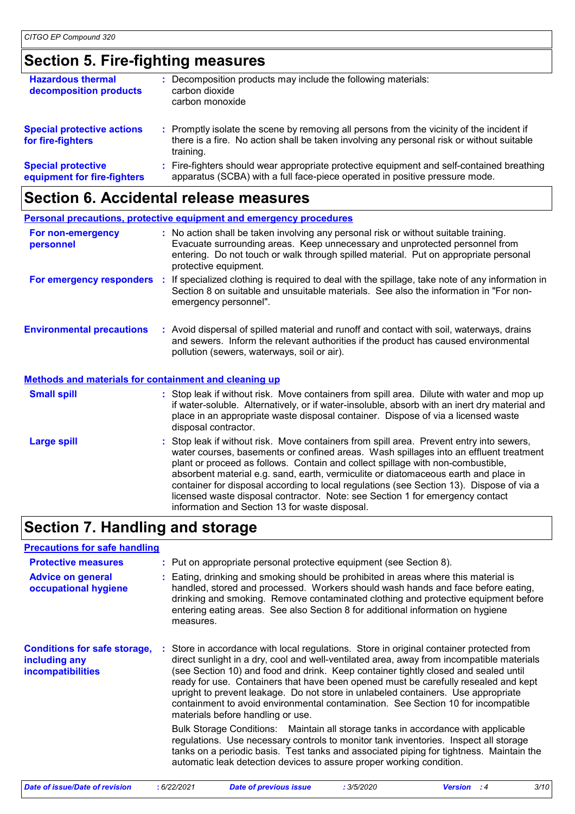# **Section 5. Fire-fighting measures**

| <b>Hazardous thermal</b><br>decomposition products       | Decomposition products may include the following materials:<br>carbon dioxide<br>carbon monoxide                                                                                                    |
|----------------------------------------------------------|-----------------------------------------------------------------------------------------------------------------------------------------------------------------------------------------------------|
| <b>Special protective actions</b><br>for fire-fighters   | : Promptly isolate the scene by removing all persons from the vicinity of the incident if<br>there is a fire. No action shall be taken involving any personal risk or without suitable<br>training. |
| <b>Special protective</b><br>equipment for fire-fighters | : Fire-fighters should wear appropriate protective equipment and self-contained breathing<br>apparatus (SCBA) with a full face-piece operated in positive pressure mode.                            |

# **Section 6. Accidental release measures**

|                                                              | <b>Personal precautions, protective equipment and emergency procedures</b>                                                                                                                                                                                                                                                                                                                                                                                                                                                                                                               |
|--------------------------------------------------------------|------------------------------------------------------------------------------------------------------------------------------------------------------------------------------------------------------------------------------------------------------------------------------------------------------------------------------------------------------------------------------------------------------------------------------------------------------------------------------------------------------------------------------------------------------------------------------------------|
| For non-emergency<br>personnel                               | : No action shall be taken involving any personal risk or without suitable training.<br>Evacuate surrounding areas. Keep unnecessary and unprotected personnel from<br>entering. Do not touch or walk through spilled material. Put on appropriate personal<br>protective equipment.                                                                                                                                                                                                                                                                                                     |
| For emergency responders                                     | If specialized clothing is required to deal with the spillage, take note of any information in<br>÷.<br>Section 8 on suitable and unsuitable materials. See also the information in "For non-<br>emergency personnel".                                                                                                                                                                                                                                                                                                                                                                   |
| <b>Environmental precautions</b>                             | : Avoid dispersal of spilled material and runoff and contact with soil, waterways, drains<br>and sewers. Inform the relevant authorities if the product has caused environmental<br>pollution (sewers, waterways, soil or air).                                                                                                                                                                                                                                                                                                                                                          |
| <b>Methods and materials for containment and cleaning up</b> |                                                                                                                                                                                                                                                                                                                                                                                                                                                                                                                                                                                          |
| <b>Small spill</b>                                           | : Stop leak if without risk. Move containers from spill area. Dilute with water and mop up<br>if water-soluble. Alternatively, or if water-insoluble, absorb with an inert dry material and<br>place in an appropriate waste disposal container. Dispose of via a licensed waste<br>disposal contractor.                                                                                                                                                                                                                                                                                 |
| <b>Large spill</b>                                           | Stop leak if without risk. Move containers from spill area. Prevent entry into sewers,<br>water courses, basements or confined areas. Wash spillages into an effluent treatment<br>plant or proceed as follows. Contain and collect spillage with non-combustible,<br>absorbent material e.g. sand, earth, vermiculite or diatomaceous earth and place in<br>container for disposal according to local regulations (see Section 13). Dispose of via a<br>licensed waste disposal contractor. Note: see Section 1 for emergency contact<br>information and Section 13 for waste disposal. |

# **Section 7. Handling and storage**

| <b>Precautions for safe handling</b>                                             |                                                                                                                                                                                                                                                                                                                                                                                                                                                                                                                                                                                                                                                                                                                                                                 |
|----------------------------------------------------------------------------------|-----------------------------------------------------------------------------------------------------------------------------------------------------------------------------------------------------------------------------------------------------------------------------------------------------------------------------------------------------------------------------------------------------------------------------------------------------------------------------------------------------------------------------------------------------------------------------------------------------------------------------------------------------------------------------------------------------------------------------------------------------------------|
| <b>Protective measures</b>                                                       | : Put on appropriate personal protective equipment (see Section 8).                                                                                                                                                                                                                                                                                                                                                                                                                                                                                                                                                                                                                                                                                             |
| <b>Advice on general</b><br>occupational hygiene                                 | : Eating, drinking and smoking should be prohibited in areas where this material is<br>handled, stored and processed. Workers should wash hands and face before eating,<br>drinking and smoking. Remove contaminated clothing and protective equipment before<br>entering eating areas. See also Section 8 for additional information on hygiene<br>measures.                                                                                                                                                                                                                                                                                                                                                                                                   |
| <b>Conditions for safe storage,</b><br>including any<br><b>incompatibilities</b> | : Store in accordance with local regulations. Store in original container protected from<br>direct sunlight in a dry, cool and well-ventilated area, away from incompatible materials<br>(see Section 10) and food and drink. Keep container tightly closed and sealed until<br>ready for use. Containers that have been opened must be carefully resealed and kept<br>upright to prevent leakage. Do not store in unlabeled containers. Use appropriate<br>containment to avoid environmental contamination. See Section 10 for incompatible<br>materials before handling or use.<br>Bulk Storage Conditions: Maintain all storage tanks in accordance with applicable<br>regulations. Use necessary controls to monitor tank inventories. Inspect all storage |
|                                                                                  | tanks on a periodic basis. Test tanks and associated piping for tightness. Maintain the<br>automatic leak detection devices to assure proper working condition.                                                                                                                                                                                                                                                                                                                                                                                                                                                                                                                                                                                                 |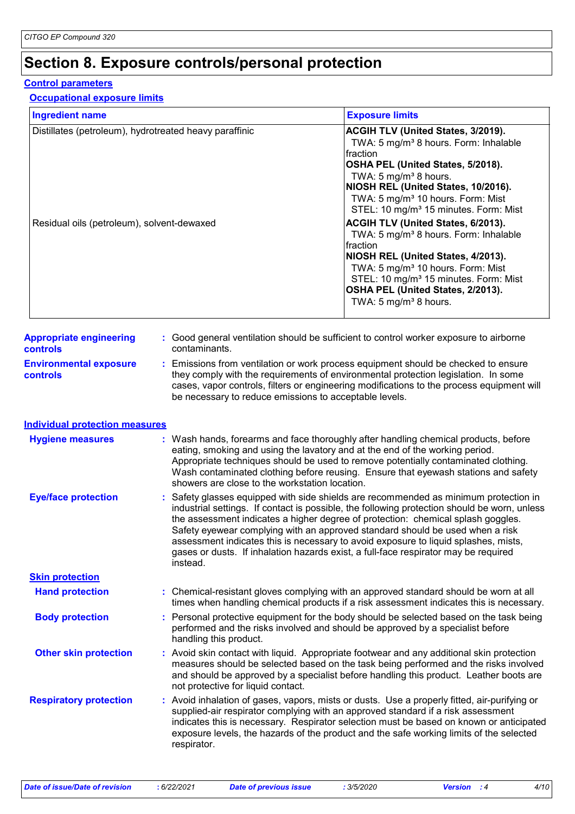# **Section 8. Exposure controls/personal protection**

#### **Control parameters**

#### **Occupational exposure limits**

| <b>Ingredient name</b>                                                                               |  |                                                                                                                                                                                                                                                                                                                                                                                                                                                                                                                                                     | <b>Exposure limits</b>                                                                                                                                                                                                                                                                                                                                                                                                                                                                                                                                                                                                                                  |  |
|------------------------------------------------------------------------------------------------------|--|-----------------------------------------------------------------------------------------------------------------------------------------------------------------------------------------------------------------------------------------------------------------------------------------------------------------------------------------------------------------------------------------------------------------------------------------------------------------------------------------------------------------------------------------------------|---------------------------------------------------------------------------------------------------------------------------------------------------------------------------------------------------------------------------------------------------------------------------------------------------------------------------------------------------------------------------------------------------------------------------------------------------------------------------------------------------------------------------------------------------------------------------------------------------------------------------------------------------------|--|
| Distillates (petroleum), hydrotreated heavy paraffinic<br>Residual oils (petroleum), solvent-dewaxed |  |                                                                                                                                                                                                                                                                                                                                                                                                                                                                                                                                                     | ACGIH TLV (United States, 3/2019).<br>TWA: 5 mg/m <sup>3</sup> 8 hours. Form: Inhalable<br>fraction<br>OSHA PEL (United States, 5/2018).<br>TWA: 5 mg/m <sup>3</sup> 8 hours.<br>NIOSH REL (United States, 10/2016).<br>TWA: 5 mg/m <sup>3</sup> 10 hours. Form: Mist<br>STEL: 10 mg/m <sup>3</sup> 15 minutes. Form: Mist<br>ACGIH TLV (United States, 6/2013).<br>TWA: 5 mg/m <sup>3</sup> 8 hours. Form: Inhalable<br>fraction<br>NIOSH REL (United States, 4/2013).<br>TWA: 5 mg/m <sup>3</sup> 10 hours. Form: Mist<br>STEL: 10 mg/m <sup>3</sup> 15 minutes. Form: Mist<br>OSHA PEL (United States, 2/2013).<br>TWA: 5 mg/m <sup>3</sup> 8 hours. |  |
| <b>Appropriate engineering</b><br><b>controls</b>                                                    |  | contaminants.                                                                                                                                                                                                                                                                                                                                                                                                                                                                                                                                       | : Good general ventilation should be sufficient to control worker exposure to airborne                                                                                                                                                                                                                                                                                                                                                                                                                                                                                                                                                                  |  |
| <b>Environmental exposure</b><br><b>controls</b>                                                     |  | : Emissions from ventilation or work process equipment should be checked to ensure<br>they comply with the requirements of environmental protection legislation. In some<br>cases, vapor controls, filters or engineering modifications to the process equipment will<br>be necessary to reduce emissions to acceptable levels.                                                                                                                                                                                                                     |                                                                                                                                                                                                                                                                                                                                                                                                                                                                                                                                                                                                                                                         |  |
| <b>Individual protection measures</b>                                                                |  |                                                                                                                                                                                                                                                                                                                                                                                                                                                                                                                                                     |                                                                                                                                                                                                                                                                                                                                                                                                                                                                                                                                                                                                                                                         |  |
| <b>Hygiene measures</b>                                                                              |  | : Wash hands, forearms and face thoroughly after handling chemical products, before<br>eating, smoking and using the lavatory and at the end of the working period.<br>Appropriate techniques should be used to remove potentially contaminated clothing.<br>Wash contaminated clothing before reusing. Ensure that eyewash stations and safety<br>showers are close to the workstation location.                                                                                                                                                   |                                                                                                                                                                                                                                                                                                                                                                                                                                                                                                                                                                                                                                                         |  |
| <b>Eye/face protection</b>                                                                           |  | : Safety glasses equipped with side shields are recommended as minimum protection in<br>industrial settings. If contact is possible, the following protection should be worn, unless<br>the assessment indicates a higher degree of protection: chemical splash goggles.<br>Safety eyewear complying with an approved standard should be used when a risk<br>assessment indicates this is necessary to avoid exposure to liquid splashes, mists,<br>gases or dusts. If inhalation hazards exist, a full-face respirator may be required<br>instead. |                                                                                                                                                                                                                                                                                                                                                                                                                                                                                                                                                                                                                                                         |  |
| <b>Skin protection</b>                                                                               |  |                                                                                                                                                                                                                                                                                                                                                                                                                                                                                                                                                     |                                                                                                                                                                                                                                                                                                                                                                                                                                                                                                                                                                                                                                                         |  |
| <b>Hand protection</b>                                                                               |  | : Chemical-resistant gloves complying with an approved standard should be worn at all<br>times when handling chemical products if a risk assessment indicates this is necessary.                                                                                                                                                                                                                                                                                                                                                                    |                                                                                                                                                                                                                                                                                                                                                                                                                                                                                                                                                                                                                                                         |  |
| <b>Body protection</b>                                                                               |  | : Personal protective equipment for the body should be selected based on the task being<br>performed and the risks involved and should be approved by a specialist before<br>handling this product.                                                                                                                                                                                                                                                                                                                                                 |                                                                                                                                                                                                                                                                                                                                                                                                                                                                                                                                                                                                                                                         |  |
| <b>Other skin protection</b>                                                                         |  | : Avoid skin contact with liquid. Appropriate footwear and any additional skin protection<br>measures should be selected based on the task being performed and the risks involved<br>and should be approved by a specialist before handling this product. Leather boots are<br>not protective for liquid contact.                                                                                                                                                                                                                                   |                                                                                                                                                                                                                                                                                                                                                                                                                                                                                                                                                                                                                                                         |  |
| <b>Respiratory protection</b>                                                                        |  | : Avoid inhalation of gases, vapors, mists or dusts. Use a properly fitted, air-purifying or<br>supplied-air respirator complying with an approved standard if a risk assessment<br>indicates this is necessary. Respirator selection must be based on known or anticipated<br>exposure levels, the hazards of the product and the safe working limits of the selected<br>respirator.                                                                                                                                                               |                                                                                                                                                                                                                                                                                                                                                                                                                                                                                                                                                                                                                                                         |  |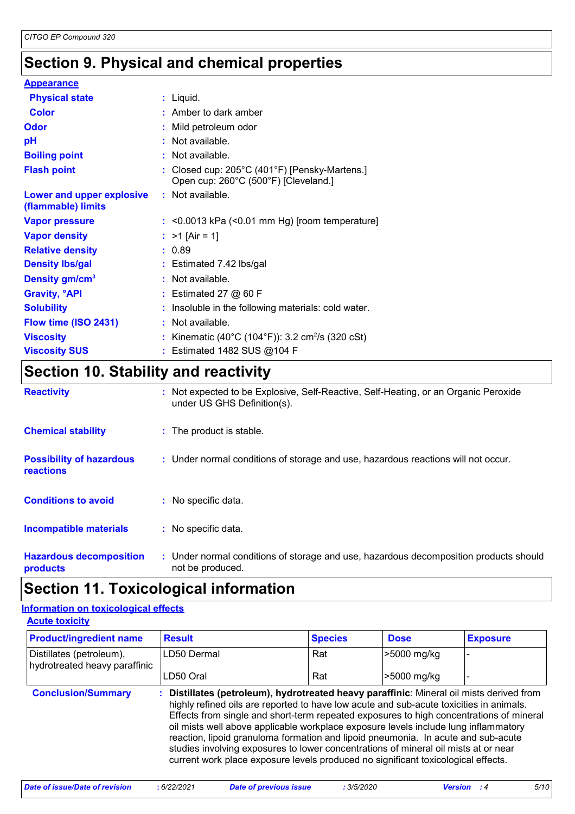# **Section 9. Physical and chemical properties**

| <b>Appearance</b>                               |                                                                                       |
|-------------------------------------------------|---------------------------------------------------------------------------------------|
| <b>Physical state</b>                           | $:$ Liquid.                                                                           |
| <b>Color</b>                                    | $:$ Amber to dark amber                                                               |
| Odor                                            | : Mild petroleum odor                                                                 |
| pH                                              | : Not available.                                                                      |
| <b>Boiling point</b>                            | : Not available.                                                                      |
| <b>Flash point</b>                              | : Closed cup: 205°C (401°F) [Pensky-Martens.]<br>Open cup: 260°C (500°F) [Cleveland.] |
| Lower and upper explosive<br>(flammable) limits | : Not available.                                                                      |
| <b>Vapor pressure</b>                           | $:$ <0.0013 kPa (<0.01 mm Hg) [room temperature]                                      |
| <b>Vapor density</b>                            | : $>1$ [Air = 1]                                                                      |
| <b>Relative density</b>                         | : 0.89                                                                                |
| <b>Density Ibs/gal</b>                          | : Estimated 7.42 lbs/gal                                                              |
| Density gm/cm <sup>3</sup>                      | : Not available.                                                                      |
| <b>Gravity, <sup>o</sup>API</b>                 | $:$ Estimated 27 $@$ 60 F                                                             |
| <b>Solubility</b>                               | : Insoluble in the following materials: cold water.                                   |
| Flow time (ISO 2431)                            | : Not available.                                                                      |
| <b>Viscosity</b>                                | : Kinematic (40°C (104°F)): 3.2 cm <sup>2</sup> /s (320 cSt)                          |
| <b>Viscosity SUS</b>                            | : Estimated 1482 SUS @104 F                                                           |
| Coofian 40 Ctability and reactivity             |                                                                                       |

### **Section 10. Stability and reactivity**

| <b>Reactivity</b>                                   | : Not expected to be Explosive, Self-Reactive, Self-Heating, or an Organic Peroxide<br>under US GHS Definition(s). |
|-----------------------------------------------------|--------------------------------------------------------------------------------------------------------------------|
| <b>Chemical stability</b>                           | : The product is stable.                                                                                           |
| <b>Possibility of hazardous</b><br><b>reactions</b> | : Under normal conditions of storage and use, hazardous reactions will not occur.                                  |
| <b>Conditions to avoid</b>                          | : No specific data.                                                                                                |
| <b>Incompatible materials</b>                       | : No specific data.                                                                                                |
| <b>Hazardous decomposition</b><br>products          | : Under normal conditions of storage and use, hazardous decomposition products should<br>not be produced.          |

# **Section 11. Toxicological information**

#### **Acute toxicity Information on toxicological effects**

| <b>Product/ingredient name</b>                            | <b>Result</b>                                                                                                                                                                                                                                                                                                                                                                                                                                                                                                                                                                                                                          | <b>Species</b> | <b>Dose</b> | <b>Exposure</b> |
|-----------------------------------------------------------|----------------------------------------------------------------------------------------------------------------------------------------------------------------------------------------------------------------------------------------------------------------------------------------------------------------------------------------------------------------------------------------------------------------------------------------------------------------------------------------------------------------------------------------------------------------------------------------------------------------------------------------|----------------|-------------|-----------------|
| Distillates (petroleum),<br>hydrotreated heavy paraffinic | LD50 Dermal                                                                                                                                                                                                                                                                                                                                                                                                                                                                                                                                                                                                                            | Rat            | >5000 mg/kg |                 |
|                                                           | LD50 Oral                                                                                                                                                                                                                                                                                                                                                                                                                                                                                                                                                                                                                              | Rat            | >5000 mg/kg |                 |
| <b>Conclusion/Summary</b>                                 | : Distillates (petroleum), hydrotreated heavy paraffinic: Mineral oil mists derived from<br>highly refined oils are reported to have low acute and sub-acute toxicities in animals.<br>Effects from single and short-term repeated exposures to high concentrations of mineral<br>oil mists well above applicable workplace exposure levels include lung inflammatory<br>reaction, lipoid granuloma formation and lipoid pneumonia. In acute and sub-acute<br>studies involving exposures to lower concentrations of mineral oil mists at or near<br>current work place exposure levels produced no significant toxicological effects. |                |             |                 |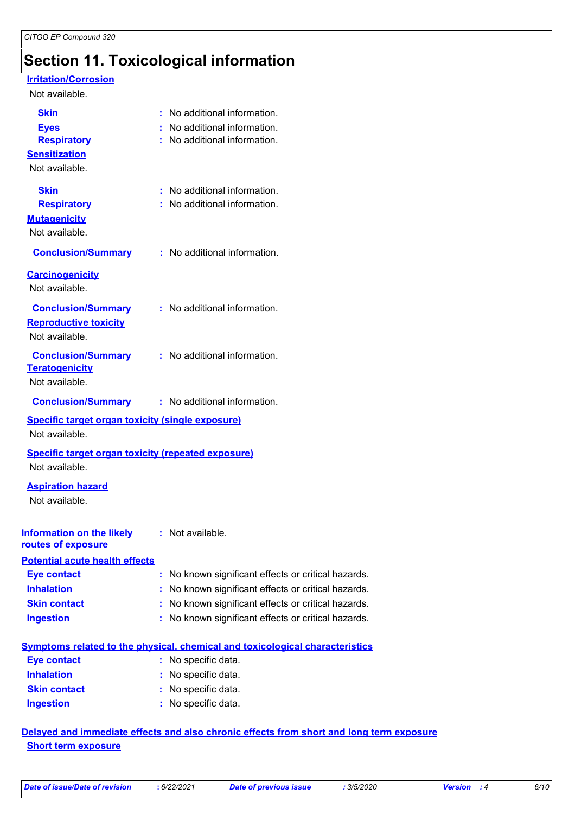# **Section 11. Toxicological information**

#### **Irritation/Corrosion**

#### Not available.

| <b>Skin</b><br><b>Eyes</b><br><b>Respiratory</b><br><b>Sensitization</b><br>Not available. | : No additional information.<br>: No additional information.<br>: No additional information. |
|--------------------------------------------------------------------------------------------|----------------------------------------------------------------------------------------------|
| <b>Skin</b><br><b>Respiratory</b><br><b>Mutagenicity</b><br>Not available.                 | : No additional information.<br>: No additional information.                                 |
| <b>Conclusion/Summary</b>                                                                  | : No additional information.                                                                 |
| <b>Carcinogenicity</b><br>Not available.                                                   |                                                                                              |
| <b>Conclusion/Summary</b><br><b>Reproductive toxicity</b><br>Not available.                | $\therefore$ No additional information.                                                      |
| <b>Conclusion/Summary</b><br><b>Teratogenicity</b><br>Not available.                       | : No additional information.                                                                 |
| <b>Conclusion/Summary</b>                                                                  | : No additional information.                                                                 |
| <b>Specific target organ toxicity (single exposure)</b><br>Not available.                  |                                                                                              |
| <b>Specific target organ toxicity (repeated exposure)</b>                                  |                                                                                              |
| Not available.                                                                             |                                                                                              |
| <b>Aspiration hazard</b><br>Not available.                                                 |                                                                                              |
| Information on the likely : Not available.<br>routes of exposure                           |                                                                                              |
| <b>Potential acute health effects</b>                                                      |                                                                                              |
| <b>Eye contact</b>                                                                         | No known significant effects or critical hazards.                                            |
| <b>Inhalation</b>                                                                          | No known significant effects or critical hazards.                                            |
| <b>Skin contact</b>                                                                        | No known significant effects or critical hazards.                                            |
| <b>Ingestion</b>                                                                           | : No known significant effects or critical hazards.                                          |
|                                                                                            | <b>Symptoms related to the physical, chemical and toxicological characteristics</b>          |
| <b>Eye contact</b>                                                                         | : No specific data.                                                                          |
| <b>Inhalation</b>                                                                          | No specific data.                                                                            |
| <b>Skin contact</b>                                                                        | No specific data.                                                                            |

#### **Delayed and immediate effects and also chronic effects from short and long term exposure Short term exposure**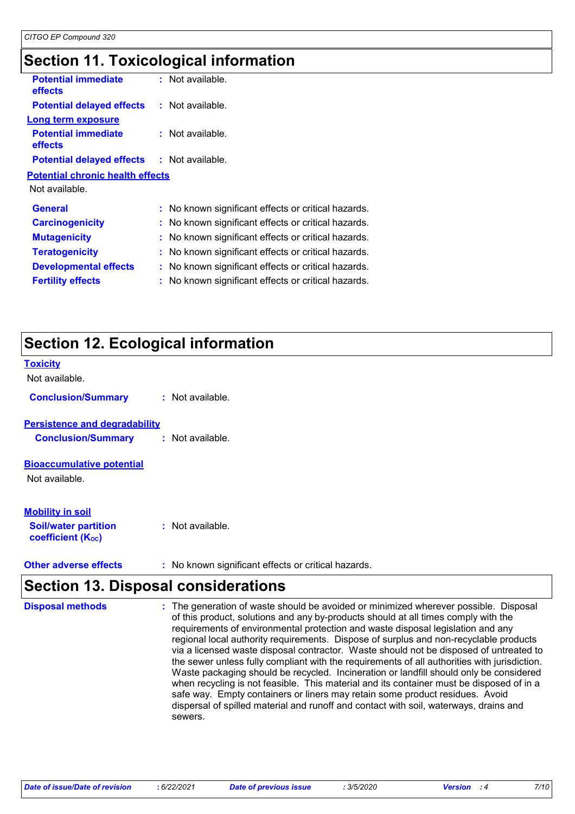# **Section 11. Toxicological information**

| <b>Potential immediate</b><br>effects             | : Not available.                                    |
|---------------------------------------------------|-----------------------------------------------------|
| <b>Potential delayed effects</b>                  | $:$ Not available.                                  |
| Long term exposure                                |                                                     |
| <b>Potential immediate</b><br>effects             | : Not available.                                    |
| <b>Potential delayed effects : Not available.</b> |                                                     |
| <b>Potential chronic health effects</b>           |                                                     |
| Not available.                                    |                                                     |
| <b>General</b>                                    | : No known significant effects or critical hazards. |
| <b>Carcinogenicity</b>                            | : No known significant effects or critical hazards. |
| <b>Mutagenicity</b>                               | : No known significant effects or critical hazards. |
| <b>Teratogenicity</b>                             | : No known significant effects or critical hazards. |
| <b>Developmental effects</b>                      | No known significant effects or critical hazards.   |
| <b>Fertility effects</b>                          | No known significant effects or critical hazards.   |
|                                                   |                                                     |

# **Section 12. Ecological information**

| <b>Toxicity</b><br>Not available.                                                  |                  |
|------------------------------------------------------------------------------------|------------------|
| <b>Conclusion/Summary</b>                                                          | : Not available. |
| <b>Persistence and degradability</b><br><b>Conclusion/Summary</b>                  | : Not available. |
| <b>Bioaccumulative potential</b><br>Not available.                                 |                  |
| <b>Mobility in soil</b><br><b>Soil/water partition</b><br><b>coefficient (Koc)</b> | Not available.   |

**Other adverse effects** : No known significant effects or critical hazards.

# **Section 13. Disposal considerations**

| <b>Disposal methods</b> | : The generation of waste should be avoided or minimized wherever possible. Disposal<br>of this product, solutions and any by-products should at all times comply with the<br>requirements of environmental protection and waste disposal legislation and any<br>regional local authority requirements. Dispose of surplus and non-recyclable products<br>via a licensed waste disposal contractor. Waste should not be disposed of untreated to<br>the sewer unless fully compliant with the requirements of all authorities with jurisdiction.<br>Waste packaging should be recycled. Incineration or landfill should only be considered<br>when recycling is not feasible. This material and its container must be disposed of in a<br>safe way. Empty containers or liners may retain some product residues. Avoid<br>dispersal of spilled material and runoff and contact with soil, waterways, drains and |
|-------------------------|-----------------------------------------------------------------------------------------------------------------------------------------------------------------------------------------------------------------------------------------------------------------------------------------------------------------------------------------------------------------------------------------------------------------------------------------------------------------------------------------------------------------------------------------------------------------------------------------------------------------------------------------------------------------------------------------------------------------------------------------------------------------------------------------------------------------------------------------------------------------------------------------------------------------|
|                         | sewers.                                                                                                                                                                                                                                                                                                                                                                                                                                                                                                                                                                                                                                                                                                                                                                                                                                                                                                         |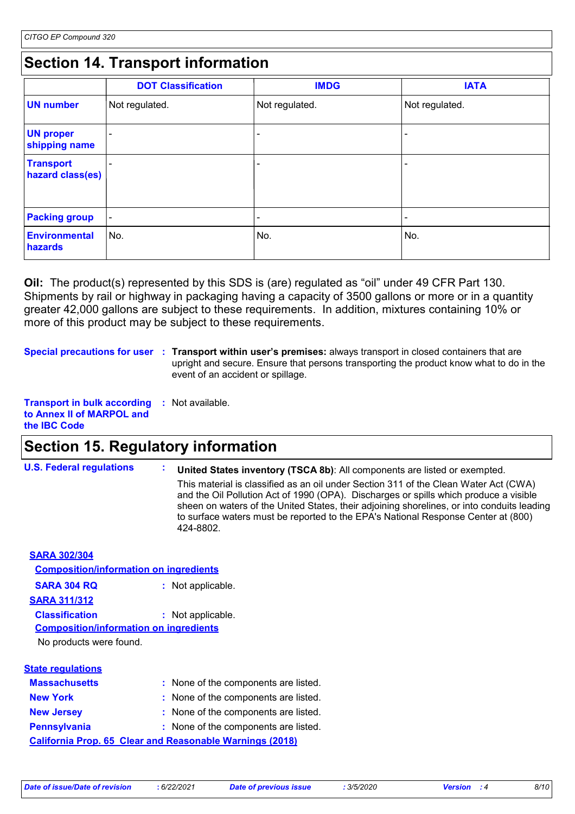# **Section 14. Transport information**

|                                      | <b>DOT Classification</b> | <b>IMDG</b>              | <b>IATA</b>     |
|--------------------------------------|---------------------------|--------------------------|-----------------|
| <b>UN number</b>                     | Not regulated.            | Not regulated.           | Not regulated.  |
| <b>UN proper</b><br>shipping name    |                           |                          |                 |
| <b>Transport</b><br>hazard class(es) |                           |                          | $\qquad \qquad$ |
| <b>Packing group</b>                 | $\blacksquare$            | $\overline{\phantom{0}}$ | $\qquad \qquad$ |
| <b>Environmental</b><br>hazards      | No.                       | No.                      | No.             |

**Oil:** The product(s) represented by this SDS is (are) regulated as "oil" under 49 CFR Part 130. Shipments by rail or highway in packaging having a capacity of 3500 gallons or more or in a quantity greater 42,000 gallons are subject to these requirements. In addition, mixtures containing 10% or more of this product may be subject to these requirements.

**Special precautions for user** : Transport within user's premises: always transport in closed containers that are upright and secure. Ensure that persons transporting the product know what to do in the event of an accident or spillage.

```
Transport in bulk according 
: Not available.
to Annex II of MARPOL and 
the IBC Code
```
# **Section 15. Regulatory information**

**U.S. Federal regulations : United States inventory (TSCA 8b)**: All components are listed or exempted. This material is classified as an oil under Section 311 of the Clean Water Act (CWA) and the Oil Pollution Act of 1990 (OPA). Discharges or spills which produce a visible sheen on waters of the United States, their adjoining shorelines, or into conduits leading to surface waters must be reported to the EPA's National Response Center at (800) 424-8802.

**SARA 302/304**

| <b>Composition/information on ingredients</b> |                 |
|-----------------------------------------------|-----------------|
| <b>SARA 304 RQ</b>                            | Not applicable. |
| <b>SARA 311/312</b>                           |                 |
| <b>Classification</b>                         | Not applicable. |
| <b>Composition/information on ingredients</b> |                 |
| No products were found.                       |                 |
|                                               |                 |
| tate requisions:                              |                 |

| olal <del>c</del> Tegulalions |                                                                 |
|-------------------------------|-----------------------------------------------------------------|
| <b>Massachusetts</b>          | : None of the components are listed.                            |
| <b>New York</b>               | : None of the components are listed.                            |
| <b>New Jersey</b>             | : None of the components are listed.                            |
| <b>Pennsylvania</b>           | : None of the components are listed.                            |
|                               | <b>California Prop. 65 Clear and Reasonable Warnings (2018)</b> |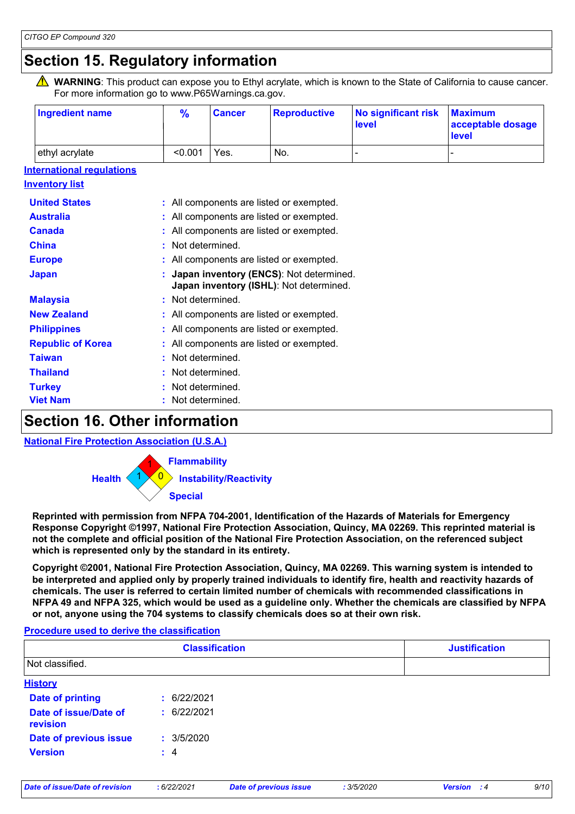# **Section 15. Regulatory information**

WARNING: This product can expose you to Ethyl acrylate, which is known to the State of California to cause cancer. For more information go to www.P65Warnings.ca.gov.

| <b>Ingredient name</b> | $\frac{9}{6}$ | <b>Cancer</b> | <b>Reproductive</b> | No significant risk<br>level | <b>Maximum</b><br>acceptable dosage<br>level |
|------------------------|---------------|---------------|---------------------|------------------------------|----------------------------------------------|
| ethyl acrylate         | < 0.001       | Yes.          | No.                 |                              |                                              |

#### **International regulations**

| <b>Inventory list</b>    |                                                                                      |
|--------------------------|--------------------------------------------------------------------------------------|
| <b>United States</b>     | : All components are listed or exempted.                                             |
| <b>Australia</b>         | : All components are listed or exempted.                                             |
| <b>Canada</b>            | : All components are listed or exempted.                                             |
| <b>China</b>             | : Not determined.                                                                    |
| <b>Europe</b>            | : All components are listed or exempted.                                             |
| <b>Japan</b>             | : Japan inventory (ENCS): Not determined.<br>Japan inventory (ISHL): Not determined. |
| <b>Malaysia</b>          | : Not determined.                                                                    |
| <b>New Zealand</b>       | : All components are listed or exempted.                                             |
| <b>Philippines</b>       | : All components are listed or exempted.                                             |
| <b>Republic of Korea</b> | : All components are listed or exempted.                                             |
| <b>Taiwan</b>            | Not determined.                                                                      |
| <b>Thailand</b>          | : Not determined.                                                                    |
| <b>Turkey</b>            | : Not determined.                                                                    |
| <b>Viet Nam</b>          | Not determined.                                                                      |
|                          |                                                                                      |

### **Section 16. Other information**

**National Fire Protection Association (U.S.A.)**



**Reprinted with permission from NFPA 704-2001, Identification of the Hazards of Materials for Emergency Response Copyright ©1997, National Fire Protection Association, Quincy, MA 02269. This reprinted material is not the complete and official position of the National Fire Protection Association, on the referenced subject which is represented only by the standard in its entirety.**

**Copyright ©2001, National Fire Protection Association, Quincy, MA 02269. This warning system is intended to be interpreted and applied only by properly trained individuals to identify fire, health and reactivity hazards of chemicals. The user is referred to certain limited number of chemicals with recommended classifications in NFPA 49 and NFPA 325, which would be used as a guideline only. Whether the chemicals are classified by NFPA or not, anyone using the 704 systems to classify chemicals does so at their own risk.**

#### **Procedure used to derive the classification**

| <b>Classification</b> | <b>Justification</b> |
|-----------------------|----------------------|
|                       |                      |
|                       |                      |
| : 6/22/2021           |                      |
| : 6/22/2021           |                      |
| : 3/5/2020            |                      |
| $\div$ 4              |                      |
|                       |                      |
|                       |                      |